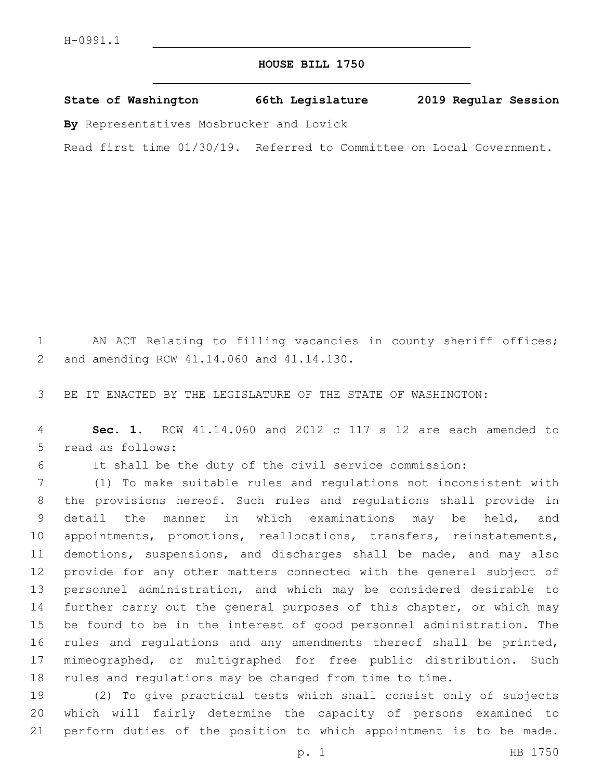## **HOUSE BILL 1750**

**State of Washington 66th Legislature 2019 Regular Session**

**By** Representatives Mosbrucker and Lovick

Read first time 01/30/19. Referred to Committee on Local Government.

 AN ACT Relating to filling vacancies in county sheriff offices; 2 and amending RCW 41.14.060 and 41.14.130.

BE IT ENACTED BY THE LEGISLATURE OF THE STATE OF WASHINGTON:

 **Sec. 1.** RCW 41.14.060 and 2012 c 117 s 12 are each amended to 5 read as follows:

It shall be the duty of the civil service commission:

 (1) To make suitable rules and regulations not inconsistent with the provisions hereof. Such rules and regulations shall provide in detail the manner in which examinations may be held, and 10 appointments, promotions, reallocations, transfers, reinstatements, demotions, suspensions, and discharges shall be made, and may also provide for any other matters connected with the general subject of personnel administration, and which may be considered desirable to further carry out the general purposes of this chapter, or which may be found to be in the interest of good personnel administration. The 16 rules and regulations and any amendments thereof shall be printed, mimeographed, or multigraphed for free public distribution. Such rules and regulations may be changed from time to time.

 (2) To give practical tests which shall consist only of subjects which will fairly determine the capacity of persons examined to perform duties of the position to which appointment is to be made.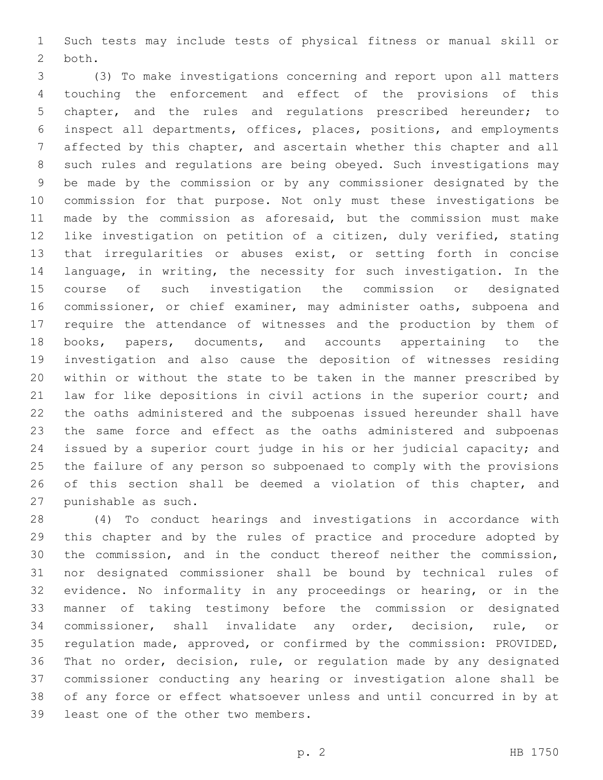Such tests may include tests of physical fitness or manual skill or 2 both.

 (3) To make investigations concerning and report upon all matters touching the enforcement and effect of the provisions of this chapter, and the rules and regulations prescribed hereunder; to inspect all departments, offices, places, positions, and employments affected by this chapter, and ascertain whether this chapter and all such rules and regulations are being obeyed. Such investigations may be made by the commission or by any commissioner designated by the commission for that purpose. Not only must these investigations be made by the commission as aforesaid, but the commission must make like investigation on petition of a citizen, duly verified, stating that irregularities or abuses exist, or setting forth in concise language, in writing, the necessity for such investigation. In the course of such investigation the commission or designated commissioner, or chief examiner, may administer oaths, subpoena and require the attendance of witnesses and the production by them of books, papers, documents, and accounts appertaining to the investigation and also cause the deposition of witnesses residing within or without the state to be taken in the manner prescribed by law for like depositions in civil actions in the superior court; and the oaths administered and the subpoenas issued hereunder shall have the same force and effect as the oaths administered and subpoenas issued by a superior court judge in his or her judicial capacity; and the failure of any person so subpoenaed to comply with the provisions 26 of this section shall be deemed a violation of this chapter, and 27 punishable as such.

 (4) To conduct hearings and investigations in accordance with this chapter and by the rules of practice and procedure adopted by the commission, and in the conduct thereof neither the commission, nor designated commissioner shall be bound by technical rules of evidence. No informality in any proceedings or hearing, or in the manner of taking testimony before the commission or designated commissioner, shall invalidate any order, decision, rule, or regulation made, approved, or confirmed by the commission: PROVIDED, That no order, decision, rule, or regulation made by any designated commissioner conducting any hearing or investigation alone shall be of any force or effect whatsoever unless and until concurred in by at 39 least one of the other two members.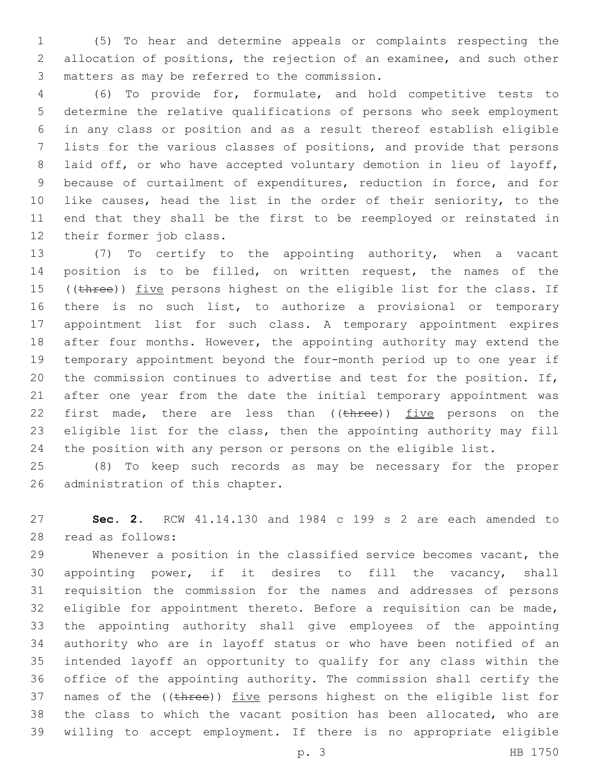(5) To hear and determine appeals or complaints respecting the allocation of positions, the rejection of an examinee, and such other matters as may be referred to the commission.3

 (6) To provide for, formulate, and hold competitive tests to determine the relative qualifications of persons who seek employment in any class or position and as a result thereof establish eligible lists for the various classes of positions, and provide that persons laid off, or who have accepted voluntary demotion in lieu of layoff, because of curtailment of expenditures, reduction in force, and for 10 like causes, head the list in the order of their seniority, to the end that they shall be the first to be reemployed or reinstated in 12 their former job class.

 (7) To certify to the appointing authority, when a vacant position is to be filled, on written request, the names of the 15 ((three)) five persons highest on the eligible list for the class. If there is no such list, to authorize a provisional or temporary appointment list for such class. A temporary appointment expires 18 after four months. However, the appointing authority may extend the temporary appointment beyond the four-month period up to one year if the commission continues to advertise and test for the position. If, after one year from the date the initial temporary appointment was 22 first made, there are less than ((three)) five persons on the eligible list for the class, then the appointing authority may fill the position with any person or persons on the eligible list.

 (8) To keep such records as may be necessary for the proper 26 administration of this chapter.

 **Sec. 2.** RCW 41.14.130 and 1984 c 199 s 2 are each amended to read as follows:28

 Whenever a position in the classified service becomes vacant, the appointing power, if it desires to fill the vacancy, shall requisition the commission for the names and addresses of persons eligible for appointment thereto. Before a requisition can be made, the appointing authority shall give employees of the appointing authority who are in layoff status or who have been notified of an intended layoff an opportunity to qualify for any class within the office of the appointing authority. The commission shall certify the 37 names of the ((three)) five persons highest on the eligible list for the class to which the vacant position has been allocated, who are willing to accept employment. If there is no appropriate eligible